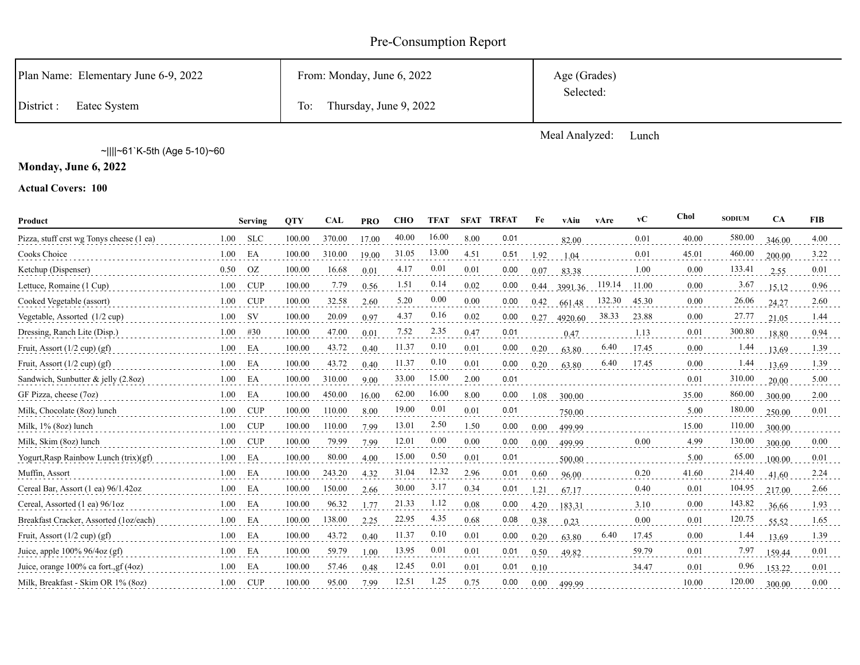# Pre-Consumption Report

| District :<br>Eatec System           | Thursday, June 9, 2022<br>To: |                           |
|--------------------------------------|-------------------------------|---------------------------|
| Plan Name: Elementary June 6-9, 2022 | From: Monday, June 6, 2022    | Age (Grades)<br>Selected: |

Meal Analyzed: Lunch

~||||~61`K-5th (Age 5-10)~60

**Monday, June 6, 2022**

**Actual Covers: 100**

| Product                                       |      | <b>Serving</b> | <b>OTY</b> | <b>CAL</b> | <b>PRO</b> | <b>CHO</b> | <b>TFAT</b> |      | <b>SFAT TRFAT</b> | Fe   | vAiu    | vAre   | vC    | Chol     | <b>SODIUM</b> | <b>CA</b> | <b>FIB</b> |
|-----------------------------------------------|------|----------------|------------|------------|------------|------------|-------------|------|-------------------|------|---------|--------|-------|----------|---------------|-----------|------------|
| Pizza, stuff crst wg Tonys cheese (1 ea)      | 1.00 | <b>SLC</b>     | 100.00     | 370.00     | 17.00      | 40.00      | 16.00       | 8.00 | 0.01              |      | 82.00   |        | 0.01  | 40.00    | 580.00        | 346.00    | 4.00       |
| Cooks Choice                                  | 1.00 | EA             | 100.00     | 310.00     | 19.00      | 31.05      | 13.00       | 4.51 | 0.51              | 1.92 | 1.04    |        | 0.01  | 45.01    | 460.00        | 200.00    | 3.22       |
| Ketchup (Dispenser)                           | 0.50 | OZ             | 100.00     | 16.68      | 0.01       | 4.17       | 0.01        | 0.01 | 0.00              | 0.07 | 83.38   |        | 1.00  | 0.00     | 133.41        | 2.55      | 0.01       |
| Lettuce, Romaine (1 Cup)                      | 1.00 | <b>CUP</b>     | 100.00     | 7.79       | 0.56       | 1.51       | 0.14        | 0.02 | 0.00              | 0.44 | 3991.36 | 119.14 | 11.00 | 0.00     | 3.67          | 15.12     | 0.96       |
| Cooked Vegetable (assort)                     | 1.00 | <b>CUP</b>     | 100.00     | 32.58      | 2.60       | 5.20       | 0.00        | 0.00 | 0.00              | 0.42 | 661.48  | 132.30 | 45.30 | 0.00     | 26.06         | 24.27     | 2.60       |
| Vegetable, Assorted (1/2 cup)                 | 1.00 | <b>SV</b>      | 100.00     | 20.09      | 0.97       | 4.37       | 0.16        | 0.02 | 0.00              | 0.27 | 4920.60 | 38.33  | 23.88 | 0.00     | 27.77         | 21.05     | 1.44       |
| Dressing, Ranch Lite (Disp.)                  | 1.00 | #30            | 100.00     | 47.00      | 0.01       | 7.52       | 2.35        | 0.47 | 0.01              |      | 0.47    |        | 1.13  | 0.01     | 300.80        | 18.80     | 0.94       |
| Fruit, Assort $(1/2$ cup) $(gf)$              | 1.00 | EA             | 100.00     | 43.72      | 0.40       | 11.37      | 0.10        | 0.01 | 0.00              | 0.20 | 63.80   | 6.40   | 17.45 | 0.00     | 1.44          | 13.69     | 1.39       |
| Fruit, Assort $(1/2 \text{ cup}) (gf)$        | 1.00 | EA             | 100.00     | 43.72      | 0.40       | 11.37      | 0.10        | 0.01 | 0.00              | 0.20 | 63.80   | 6.40   | 17.45 | 0.00     | 1.44          | 13.69     | 1.39       |
| Sandwich, Sunbutter & jelly $(2.8oz)$         | 1.00 | EA             | 100.00     | 310.00     | 9.00       | 33.00      | 15.00       | 2.00 | 0.01              |      |         |        |       | 0.01     | 310.00        | 20.00     | 5.00       |
| GF Pizza, cheese (7oz)                        | 1.00 | EA             | 100.00     | 450.00     | 16.00      | 62.00      | 16.00       | 8.00 | 0.00              | 1.08 | 300.00  |        |       | 35.00    | 860.00        | 300.00    | 2.00       |
| Milk, Chocolate (8oz) lunch                   | 1.00 | CUP            | 100.00     | 110.00     | 8.00       | 19.00      | 0.01        | 0.01 | 0.01              |      | 750.00  |        |       | 5.00     | 180.00        | 250.00    | 0.01       |
| Milk, 1% (8oz) lunch                          | 1.00 | CUP            | 100.00     | 110.00     | 7.99       | 13.01      | 2.50        | 1.50 | 0.00              | 0.00 | 499.99  |        |       | 15.00    | 110.00        | 300.00    |            |
| Milk, Skim (8oz) lunch                        | 1.00 | CUP            | 100.00     | 79.99      | 7.99       | 12.01      | 0.00        | 0.00 | 0.00              | 0.00 | 499.99  |        | 0.00  | 4.99     | 130.00        | 300.00    | 0.00       |
| Yogurt, Rasp Rainbow Lunch $(trix)(gf)$       | 1.00 | EA             | 100.00     | 80.00      | 4.00       | 15.00      | 0.50        | 0.01 | 0.01              |      | 500.00  |        |       | 5.00     | 65.00         | 100.00    | 0.01       |
| Muffin, Assort                                | 1.00 | EA             | 100.00     | 243.20     | 4.32       | 31.04      | 12.32       | 2.96 | 0.01              | 0.60 | 96.00   |        | 0.20  | 41.60    | 214.40        | 41.60     | 2.24       |
| Cereal Bar, Assort $(1 \text{ ea})$ 96/1.42oz | 1.00 | EA             | 100.00     | 150.00     | 2.66       | 30.00      | 3.17        | 0.34 | 0.01              | 1.21 | 67.17   |        | 0.40  | 0.01     | 104.95        | 217.00    | 2.66       |
| Cereal, Assorted (1 ea) 96/1oz                | 1.00 | EA             | 100.00     | 96.32      | 1.77       | 21.33      | 1.12        | 0.08 | 0.00              | 4.20 | 183.31  |        | 3.10  | 0.00     | 143.82        | 36.66     | 1.93       |
| Breakfast Cracker, Assorted (1oz/each)        | 1.00 | EA             | 100.00     | 138.00     | 2.25       | 22.95      | 4.35        | 0.68 | 0.08              | 0.38 | 0.23    |        | 0.00  | 0.01     | 120.75        | 55.52     | 1.65       |
| Fruit, Assort $(1/2$ cup) $(gf)$              | 1.00 | EA             | 100.00     | 43.72      | 0.40       | 11.37      | 0.10        | 0.01 | 0.00              | 0.20 | 63.80   | 6.40   | 17.45 | $0.00\,$ | 1.44          | 13.69     | 1.39       |
| Juice, apple $100\%$ 96/4oz (gf)              | 1.00 | EA             | 100.00     | 59.79      | 1.00       | 13.95      | 0.01        | 0.01 | 0.01              | 0.50 | 49.82   |        | 59.79 | 0.01     | 7.97          | 159.44    | 0.01       |
| Juice, orange 100% ca fort., gf (4oz)         | 1.00 | EA             | 100.00     | 57.46      | 0.48       | 12.45      | 0.01        | 0.01 | 0.01              | 0.10 |         |        | 34.47 | 0.01     | 0.96          | 153.22    | 0.01       |
| Milk, Breakfast - Skim OR 1% (8oz)            | 1.00 | CUP            | 100.00     | 95.00      | 7.99       | 12.51      | 1.25        | 0.75 | 0.00              | 0.00 | 499.99  |        |       | 10.00    | 120.00        | 300.00    | 0.00       |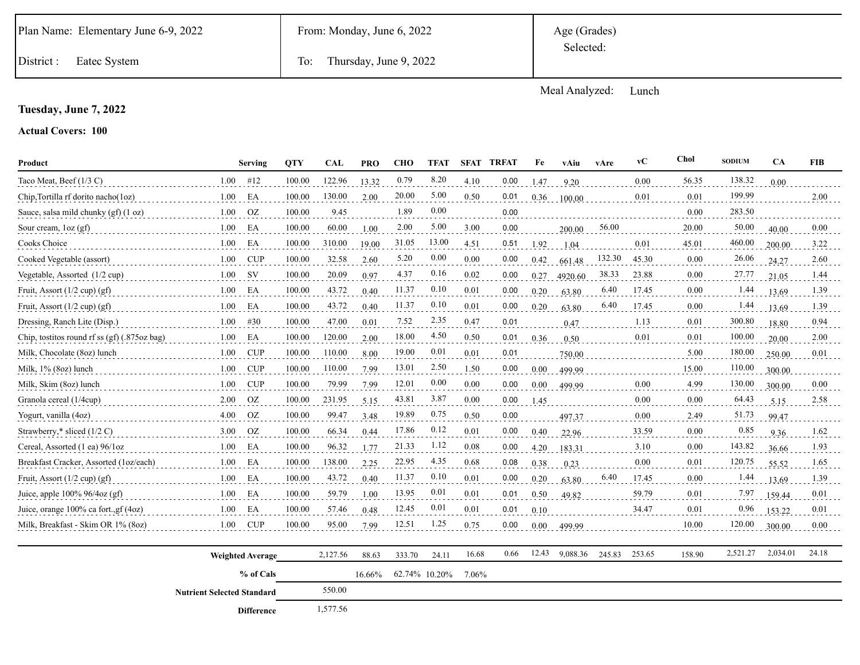Age (Grades) Selected:

District : Eatec System To: Thursday, June 9, 2022

Meal Analyzed: Lunch

#### **Tuesday, June 7, 2022**

**Actual Covers: 100**

| Product                                      |                                                | <b>Serving</b>          |        | <b>CAL</b> | <b>PRO</b> | <b>CHO</b> | <b>TFAT</b>   | <b>SFAT</b> | <b>TRFAT</b> | Fe       | vAiu     | vAre   | vC     | Chol   | <b>SODIUM</b> | CA       | <b>FIB</b> |
|----------------------------------------------|------------------------------------------------|-------------------------|--------|------------|------------|------------|---------------|-------------|--------------|----------|----------|--------|--------|--------|---------------|----------|------------|
| Taco Meat, Beef (1/3 C)                      | 1.00                                           | #12                     | 100.00 | 122.96     | 13.32      | 0.79       | 8.20          | 4.10        | 0.00         | 1.47     | 9.20     |        | 0.00   | 56.35  | 138.32        | 0.00     |            |
| Chip, Tortilla rf dorito nacho(1oz)          | 1.00                                           | EA                      | 100.00 | 130.00     | 2.00       | 20.00      | 5.00          | 0.50        | 0.01         | 0.36     | 100.00   |        | 0.01   | 0.01   | 199.99        |          | 2.00       |
| Sauce, salsa mild chunky (gf) (1 oz)         | 1.00                                           | OZ.                     | 100.00 | 9.45       |            | 1.89       | 0.00          |             | 0.00         |          |          |        |        | 0.00   | 283.50        |          |            |
| Sour cream, $\log$ (gf)                      | 1.00                                           | EA                      | 100.00 | 60.00      | 1.00       | 2.00       | 5.00          | 3.00        | 0.00         |          | 200.00   | 56.00  |        | 20.00  | 50.00         | 40.00    | 0.00       |
| Cooks Choice                                 | 1.00                                           | EA                      | 100.00 | 310.00     | 19.00      | 31.05      | 13.00         | 4.51        | 0.51         | 1.92     | 1.04     |        | 0.01   | 45.01  | 460.00        | 200.00   | 3.22       |
| Cooked Vegetable (assort)                    | 1.00                                           | <b>CUP</b>              | 100.00 | 32.58      | 2.60       | 5.20       | 0.00          | 0.00        | 0.00         | 0.42     | 661.48   | 132.30 | 45.30  | 0.00   | 26.06         | 24.27    | 2.60       |
| Vegetable, Assorted (1/2 cup)                | 1.00                                           | <b>SV</b>               | 100.00 | 20.09      | 0.97       | 4.37       | 0.16          | 0.02        | 0.00         | 0.27     | 4920.60  | 38.33  | 23.88  | 0.00   | 27.77         | 21.05    | 1.44       |
| Fruit, Assort (1/2 cup) (gf)                 | 1.00                                           | EA                      | 100.00 | 43.72      | 0.40       | 11.37      | 0.10          | 0.01        | 0.00         | 0.20     | 63.80    | 6.40   | 17.45  | 0.00   | 1.44          | 13.69    | 1.39       |
| Fruit, Assort $(1/2$ cup) $(gf)$             | 1.00                                           | EA                      | 100.00 | 43.72      | 0.40       | 11.37      | 0.10          | 0.01        | 0.00         | 0.20     | 63.80    | 6.40   | 17.45  | 0.00   | 1.44          | 13.69    | 1.39       |
| Dressing, Ranch Lite (Disp.)                 | 1.00                                           | #30                     | 100.00 | 47.00      | 0.01       | 7.52       | 2.35          | 0.47        | 0.01         |          | 0.47     |        | 1.13   | 0.01   | 300.80        | 18.80    | 0.94       |
| Chip, tostitos round rf ss (gf) (.875oz bag) | 1.00                                           | EA                      | 100.00 | 120.00     | 2.00       | 18.00      | 4.50          | 0.50        | 0.01         | 0.36     | 0.50     |        | 0.01   | 0.01   | 100.00        | 20.00    | 2.00       |
| Milk, Chocolate (8oz) lunch                  | 1.00                                           | <b>CUP</b>              | 100.00 | 110.00     | 8.00       | 19.00      | 0.01          | 0.01        | 0.01         |          | 750.00   |        |        | 5.00   | 180.00        | 250.00   | 0.01       |
| Milk, 1% (8oz) lunch                         | 1.00                                           | <b>CUP</b>              | 100.00 | 110.00     | 7.99       | 13.01      | 2.50          | 1.50        | 0.00         | 0.00     | 499.99   |        |        | 15.00  | 110.00        | 300.00   |            |
| Milk, Skim (8oz) lunch                       | 1.00                                           | <b>CUP</b>              | 100.00 | 79.99      | 7.99       | 12.01      | 0.00          | 0.00        | 0.00         | 0.00     | 499.99   |        | 0.00   | 4.99   | 130.00        | 300.00   | 0.00       |
| Granola cereal (1/4cup)                      | 2.00                                           | <b>OZ</b>               | 100.00 | 231.95     | 5.15       | 43.81      | 3.87          | 0.00        | 0.00         | 1.45     |          |        | 0.00   | 0.00   | 64.43         | 5.15     | 2.58       |
| Yogurt, vanilla (4oz)                        | 4.00                                           | OZ                      | 100.00 | 99.47      | 3.48       | 19.89      | 0.75          | 0.50        | 0.00         |          | 497.37   |        | 0.00   | 2.49   | 51.73         | 99.47    |            |
| Strawberry,* sliced (1/2 C)                  | 3.00                                           | OZ                      | 100.00 | 66.34      | 0.44       | 17.86      | 0.12          | 0.01        | 0.00         | 0.40     | 22.96    |        | 33.59  | 0.00   | 0.85          | 9.36     | 1.62       |
| Cereal, Assorted (1 ea) 96/1oz               | 1.00                                           | EA                      | 100.00 | 96.32      | 1.77       | 21.33      | 1.12          | 0.08        | 0.00         | 4.20     | 183.31   |        | 3.10   | 0.00   | 143.82        | 36.66    | 1.93       |
| Breakfast Cracker, Assorted (1oz/each)       | 1.00                                           | EA                      | 100.00 | 138.00     | 2.25       | 22.95      | 4.35          | 0.68        | 0.08         | $0.38\,$ | 0.23     |        | 0.00   | 0.01   | 120.75        | 55.52    | 1.65       |
| Fruit, Assort $(1/2$ cup) $(gf)$             | 1.00                                           | EA                      | 100.00 | 43.72      | 0.40       | 11.37      | 0.10          | 0.01        | 0.00         | 0.20     | 63.80    | 6.40   | 17.45  | 0.00   | 1.44          | 13.69    | 1.39       |
| Juice, apple 100% 96/4oz (gf)                | 1.00                                           | EA                      | 100.00 | 59.79      | 1.00       | 13.95      | 0.01          | 0.01        | 0.01         | 0.50     | 49.82    |        | 59.79  | 0.01   | 7.97          | 159.44   | 0.01       |
| Juice, orange 100% ca fort., gf (4oz)        | 1.00                                           | EA                      | 100.00 | 57.46      | 0.48       | 12.45      | 0.01          | 0.01        | 0.01         | 0.10     |          |        | 34.47  | 0.01   | 0.96          | 153.22   | 0.01       |
| Milk, Breakfast - Skim OR 1% (8oz)           | 1.00                                           | <b>CUP</b>              | 100.00 | 95.00      | 7.99       | 12.51      | 1.25          | 0.75        | 0.00         | $0.00\,$ | 499.99   |        |        | 10.00  | 120.00        | 300.00   | 0.00       |
|                                              |                                                | <b>Weighted Average</b> |        | 2,127.56   | 88.63      | 333.70     | 24.11         | 16.68       | 0.66         | 12.43    | 9,088.36 | 245.83 | 253.65 | 158.90 | 2,521.27      | 2,034.01 | 24.18      |
|                                              | % of Cals<br><b>Nutrient Selected Standard</b> |                         |        |            | 16.66%     |            | 62.74% 10.20% | 7.06%       |              |          |          |        |        |        |               |          |            |
|                                              |                                                |                         |        | 550.00     |            |            |               |             |              |          |          |        |        |        |               |          |            |
|                                              |                                                |                         |        | 1.577.56   |            |            |               |             |              |          |          |        |        |        |               |          |            |

 1,577.56 **Difference**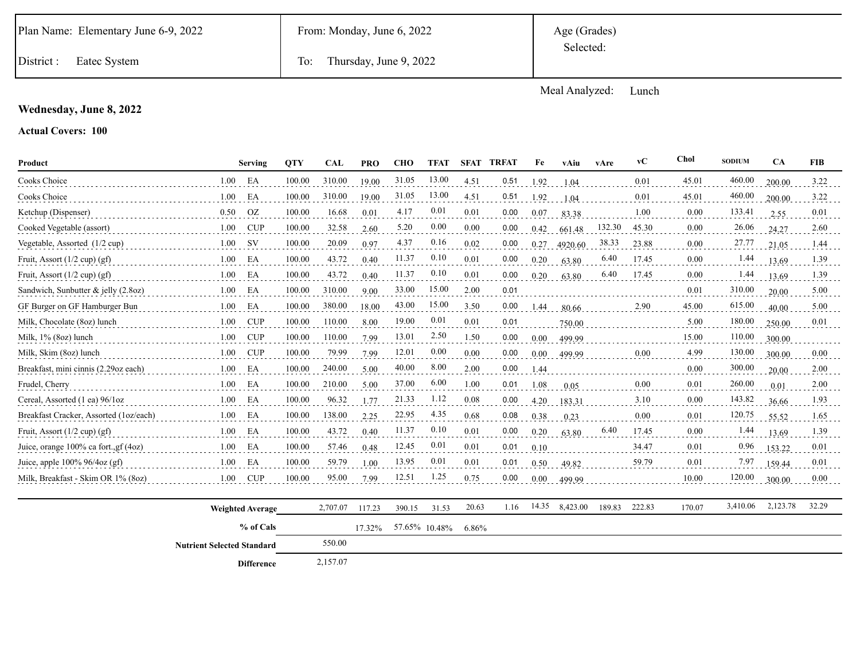Age (Grades) Selected:

District : Eatec System To: Thursday, June 9, 2022

Meal Analyzed: Lunch

### **Wednesday, June 8, 2022**

**Actual Covers: 100**

| Product                                |      | Serving    | <b>QTY</b> | <b>CAL</b> | <b>PRO</b> | <b>CHO</b> | <b>TFAT</b> | <b>SFAT</b> | <b>TRFAT</b> | Fe   | vAiu    | vAre   | vC    | Chol  | <b>SODIUM</b> | <b>CA</b> | <b>FIB</b> |
|----------------------------------------|------|------------|------------|------------|------------|------------|-------------|-------------|--------------|------|---------|--------|-------|-------|---------------|-----------|------------|
| Cooks Choice                           | 1.00 | EA         | 100.00     | 310.00     | 19.00      | 31.05      | 13.00       | 4.51        | 0.51         | 1.92 | 1.04    |        | 0.01  | 45.01 | 460.00        | 200.00    | 3.22       |
| Cooks Choice                           | 1.00 | EA         | 100.00     | 310.00     | 19.00      | 31.05      | 13.00       | 4.51        | 0.51         | 1.92 | 1.04    |        | 0.01  | 45.01 | 460.00        | 200.00    | 3.22       |
| Ketchup (Dispenser)                    | 0.50 | <b>OZ</b>  | 100.00     | 16.68      | 0.01       | 4.17       | 0.01        | 0.01        | 0.00         | 0.07 | 83.38   |        | 1.00  | 0.00  | 133.41        | 2.55      | 0.01       |
| Cooked Vegetable (assort)              | 1.00 | <b>CUP</b> | 100.00     | 32.58      | 2.60       | 5.20       | 0.00        | 0.00        | 0.00         | 0.42 | 661.48  | 132.30 | 45.30 | 0.00  | 26.06         | 24.27     | 2.60       |
| Vegetable, Assorted (1/2 cup)          | 1.00 | <b>SV</b>  | 100.00     | 20.09      | 0.97       | 4.37       | 0.16        | 0.02        | 0.00         | 0.27 | 4920.60 | 38.33  | 23.88 | 0.00  | 27.77         | 21.05     | 1.44       |
| Fruit, Assort $(1/2$ cup) $(gf)$       | 1.00 | EA         | 100.00     | 43.72      | 0.40       | 11.37      | 0.10        | 0.01        | 0.00         | 0.20 | 63.80   | 6.40   | 17.45 | 0.00  | 1.44          | 13.69     | 1.39       |
| Fruit, Assort $(1/2$ cup) $(gf)$       | 1.00 | EA         | 100.00     | 43.72      | 0.40       | 11.37      | 0.10        | 0.01        | 0.00         | 0.20 | 63.80   | 6.40   | 17.45 | 0.00  | 1.44          | 13.69     | 1.39       |
| Sandwich, Sunbutter & jelly (2.8oz)    | 1.00 | EA         | 100.00     | 310.00     | 9.00       | 33.00      | 15.00       | 2.00        | 0.01         |      |         |        |       | 0.01  | 310.00        | 20.00     | 5.00       |
| GF Burger on GF Hamburger Bun          | 1.00 | EA         | 100.00     | 380.00     | 18.00      | 43.00      | 15.00       | 3.50        | 0.00         | 1.44 | 80.66   |        | 2.90  | 45.00 | 615.00        | 40.00     | 5.00       |
| Milk, Chocolate (8oz) lunch            | 1.00 | <b>CUP</b> | 100.00     | 110.00     | 8.00       | 19.00      | 0.01        | 0.01        | 0.01         |      | 750.00  |        |       | 5.00  | 180.00        | 250.00    | 0.01       |
| Milk, 1% (8oz) lunch                   | 1.00 | <b>CUP</b> | 100.00     | 110.00     | 7.99       | 13.01      | 2.50        | 1.50        | 0.00         | 0.00 | 499.99  |        |       | 15.00 | 110.00        | 300.00    |            |
| Milk, Skim (8oz) lunch                 | 1.00 | <b>CUP</b> | 100.00     | 79.99      | 7.99       | 12.01      | 0.00        | 0.00        | 0.00         | 0.00 | 499.99  |        | 0.00  | 4.99  | 130.00        | 300.00    | $0.00\,$   |
| Breakfast, mini cinnis (2.29oz each)   | 1.00 | EA         | 100.00     | 240.00     | 5.00       | 40.00      | 8.00        | 2.00        | 0.00         | 1.44 |         |        |       | 0.00  | 300.00        | 20.00     | 2.00       |
| Frudel, Cherry                         | 1.00 | EA         | 100.00     | 210.00     | 5.00       | 37.00      | 6.00        | 1.00        | 0.01         | 1.08 | 0.05    |        | 0.00  | 0.01  | 260.00        | 0.01      | 2.00       |
| Cereal, Assorted (1 ea) 96/1oz         | 1.00 | EΑ         | 100.00     | 96.32      | 1.77       | 21.33      | 1.12        | 0.08        | 0.00         | 4.20 | 183.31  |        | 3.10  | 0.00  | 143.82        | 36.66     | 1.93       |
| Breakfast Cracker, Assorted (1oz/each) | 1.00 | EA         | 100.00     | 138.00     | 2.25       | 22.95      | 4.35        | 0.68        | 0.08         | 0.38 | 0.23    |        | 0.00  | 0.01  | 120.75        | 55.52     | 1.65       |
| Fruit, Assort $(1/2$ cup) $(gf)$       | 1.00 | EA         | 100.00     | 43.72      | 0.40       | 11.37      | 0.10        | 0.01        | 0.00         | 0.20 | 63.80   | 6.40   | 17.45 | 0.00  | 1.44          | 13.69     | 1.39       |
| Juice, orange 100% ca fort., gf (4oz)  | 1.00 | EA         | 100.00     | 57.46      | 0.48       | 12.45      | 0.01        | 0.01        | 0.01         | 0.10 |         |        | 34.47 | 0.01  | 0.96          | 153.22    | 0.01       |
| Juice, apple $100\%$ 96/4oz (gf)       | 1.00 | EA         | 100.00     | 59.79      | 1.00       | 13.95      | 0.01        | 0.01        | 0.01         | 0.50 | 49.82   |        | 59.79 | 0.01  | 7.97          | 159.44    | 0.01       |
| Milk, Breakfast - Skim OR 1% (80z)     | 1.00 | <b>CUP</b> | 100.00     | 95.00      | 7.99       | 12.51      | 1.25        | 0.75        | 0.00         | 0.00 | 499.99  |        |       | 10.00 | 120.00        | 300.00    | 0.00       |

| <b>Weighted Average</b>           | 2,707.07 | 117.23 | 390.15        | 31.53 | 20.63 | 1.16 | 14.35 | 8,423.00 | 189.83 | 222.83 | 170.07 | 3,410.06 | 2,123.78 | 32.29 |
|-----------------------------------|----------|--------|---------------|-------|-------|------|-------|----------|--------|--------|--------|----------|----------|-------|
| % of Cals                         |          | 17.32% | 57.65% 10.48% |       | 6.86% |      |       |          |        |        |        |          |          |       |
| <b>Nutrient Selected Standard</b> | 550.00   |        |               |       |       |      |       |          |        |        |        |          |          |       |
| <b>Difference</b>                 | 2,157.07 |        |               |       |       |      |       |          |        |        |        |          |          |       |